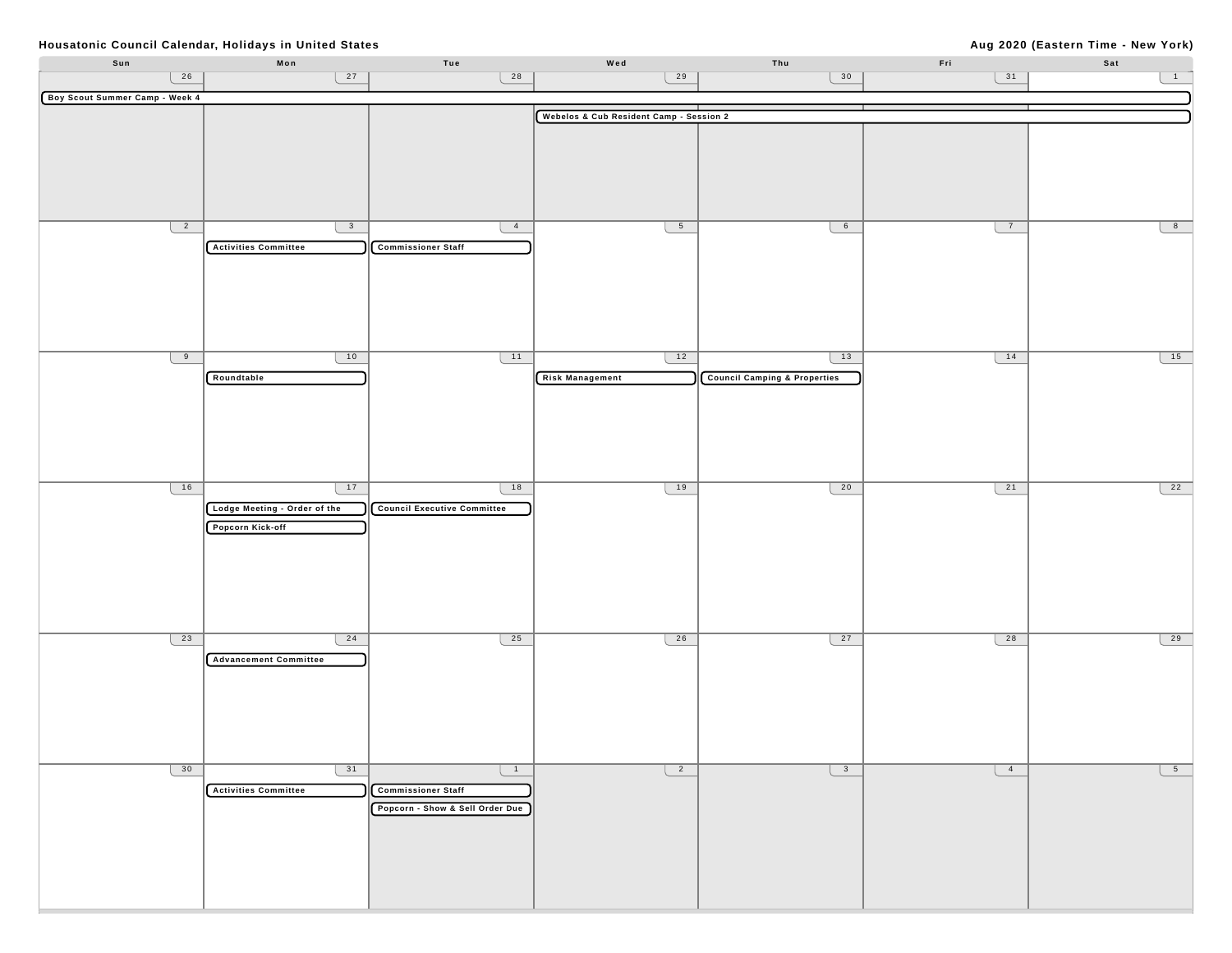## **Aug 2020 (Eastern Time - New York)**

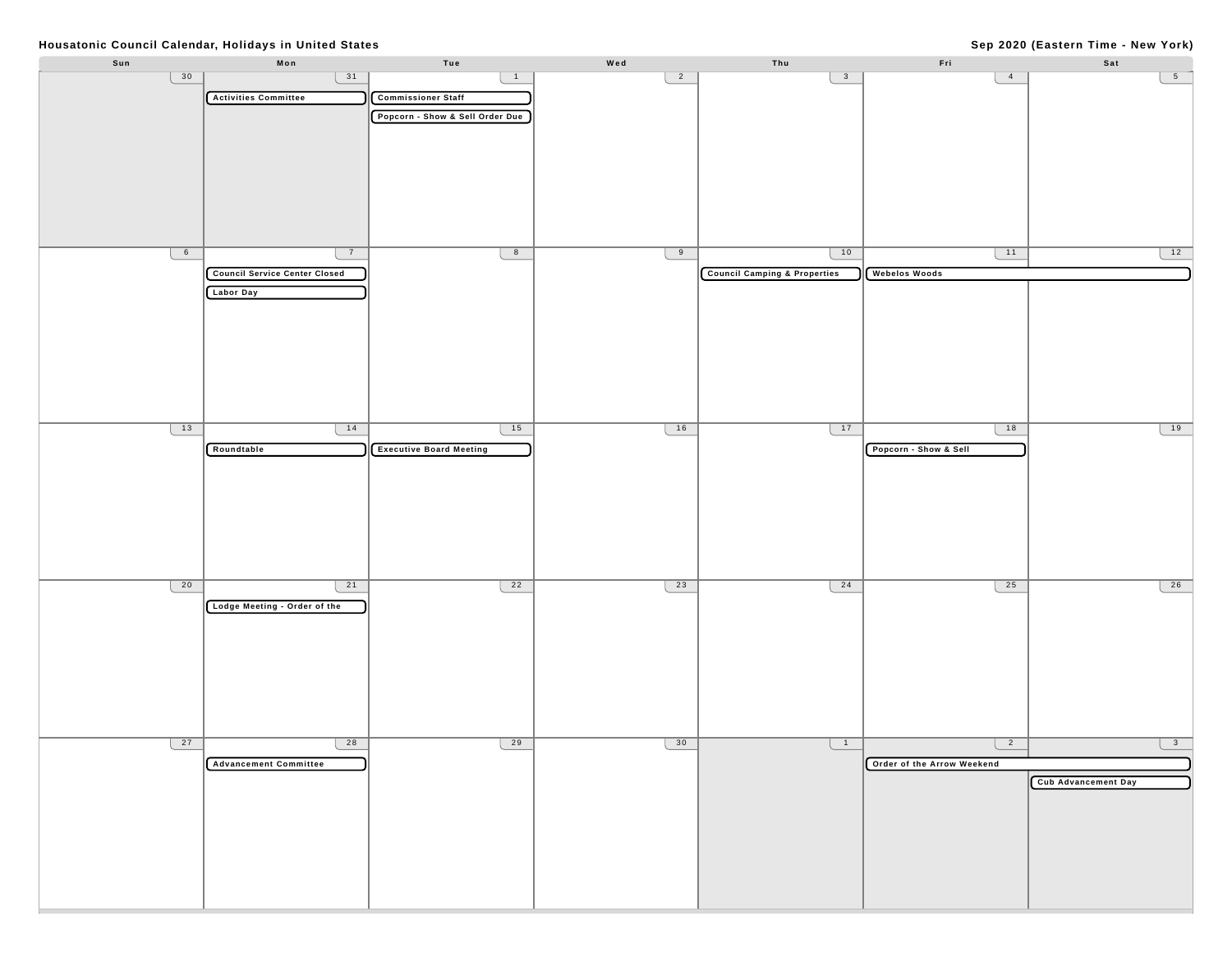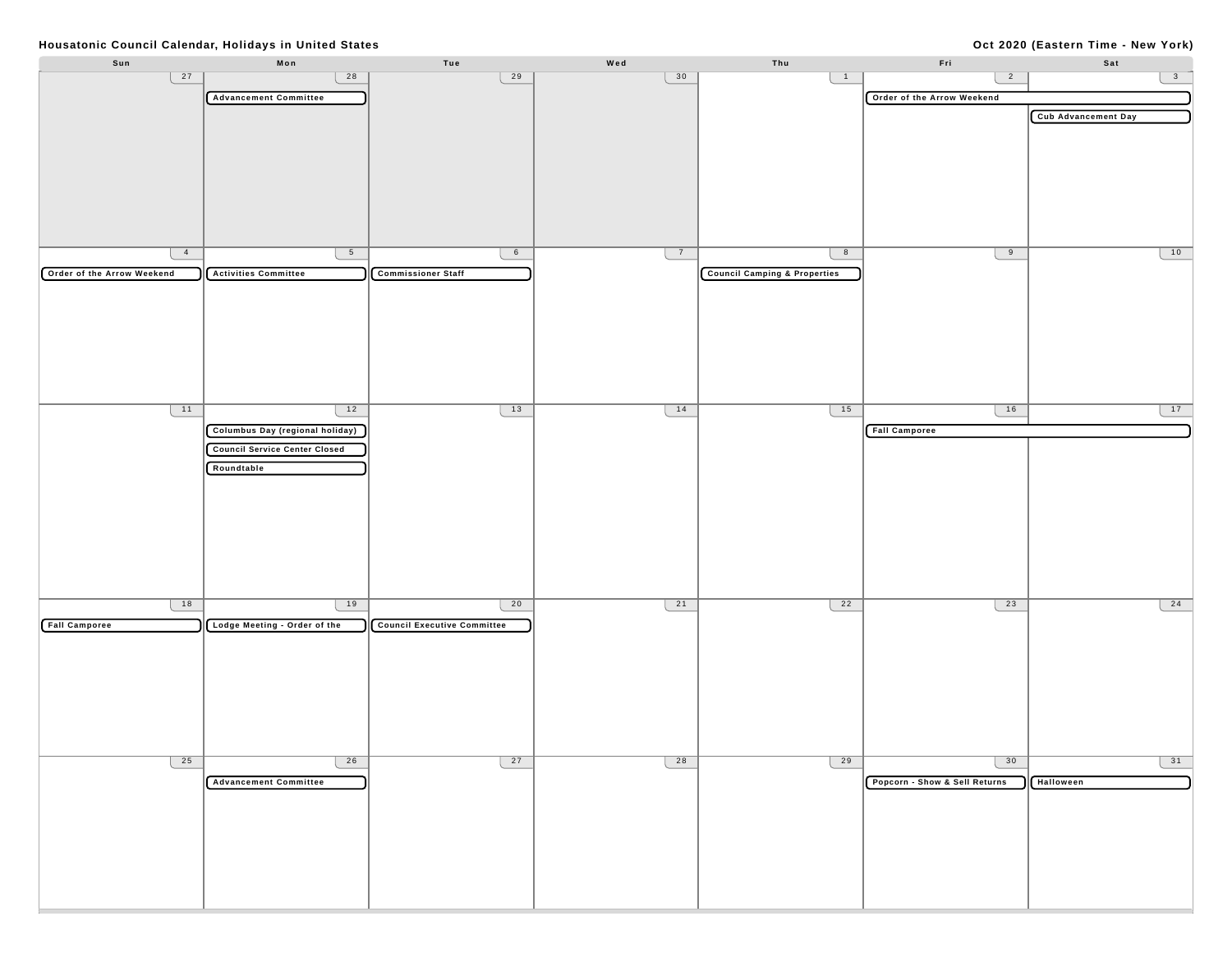## **Oct 2020 (Eastern Time - New York)**

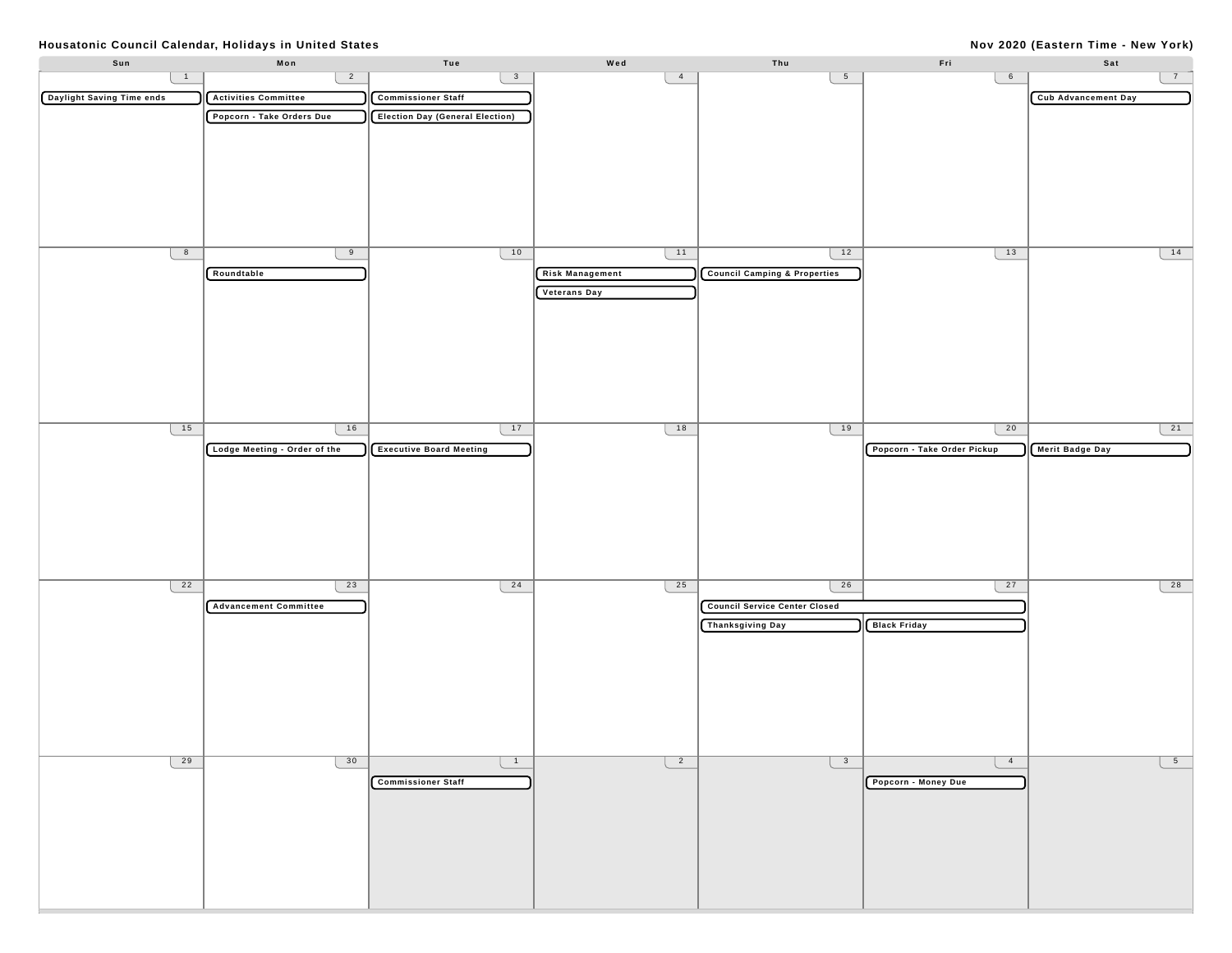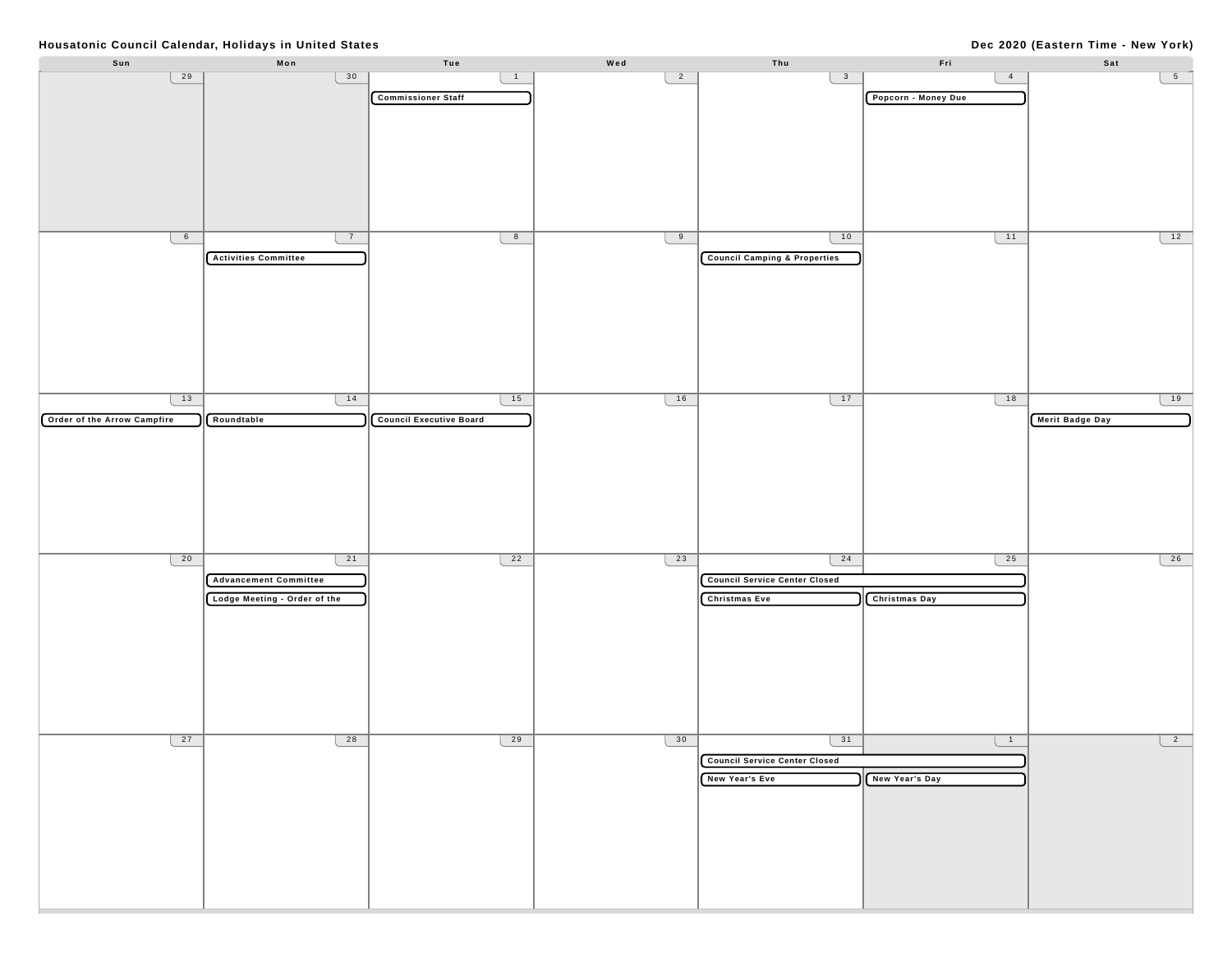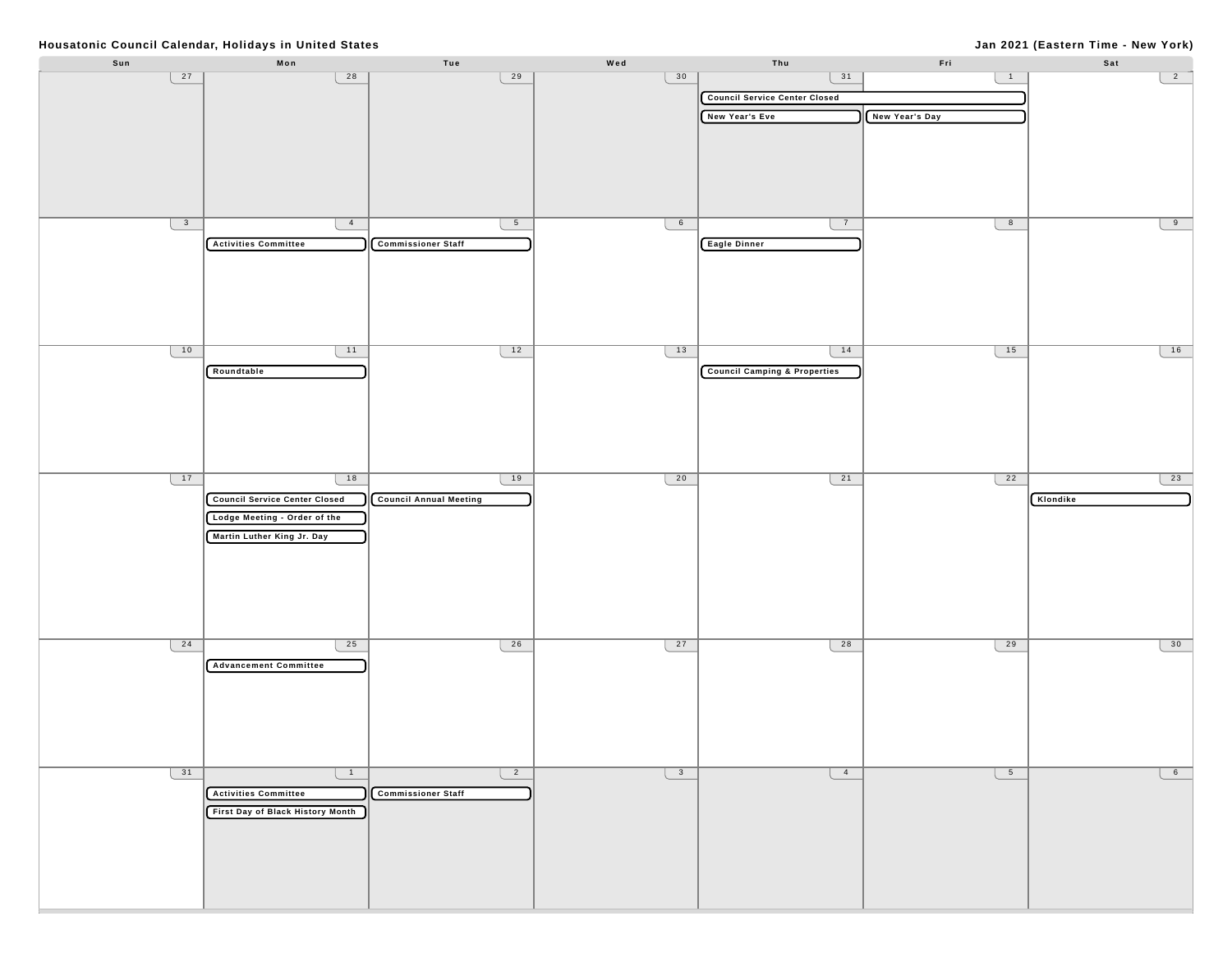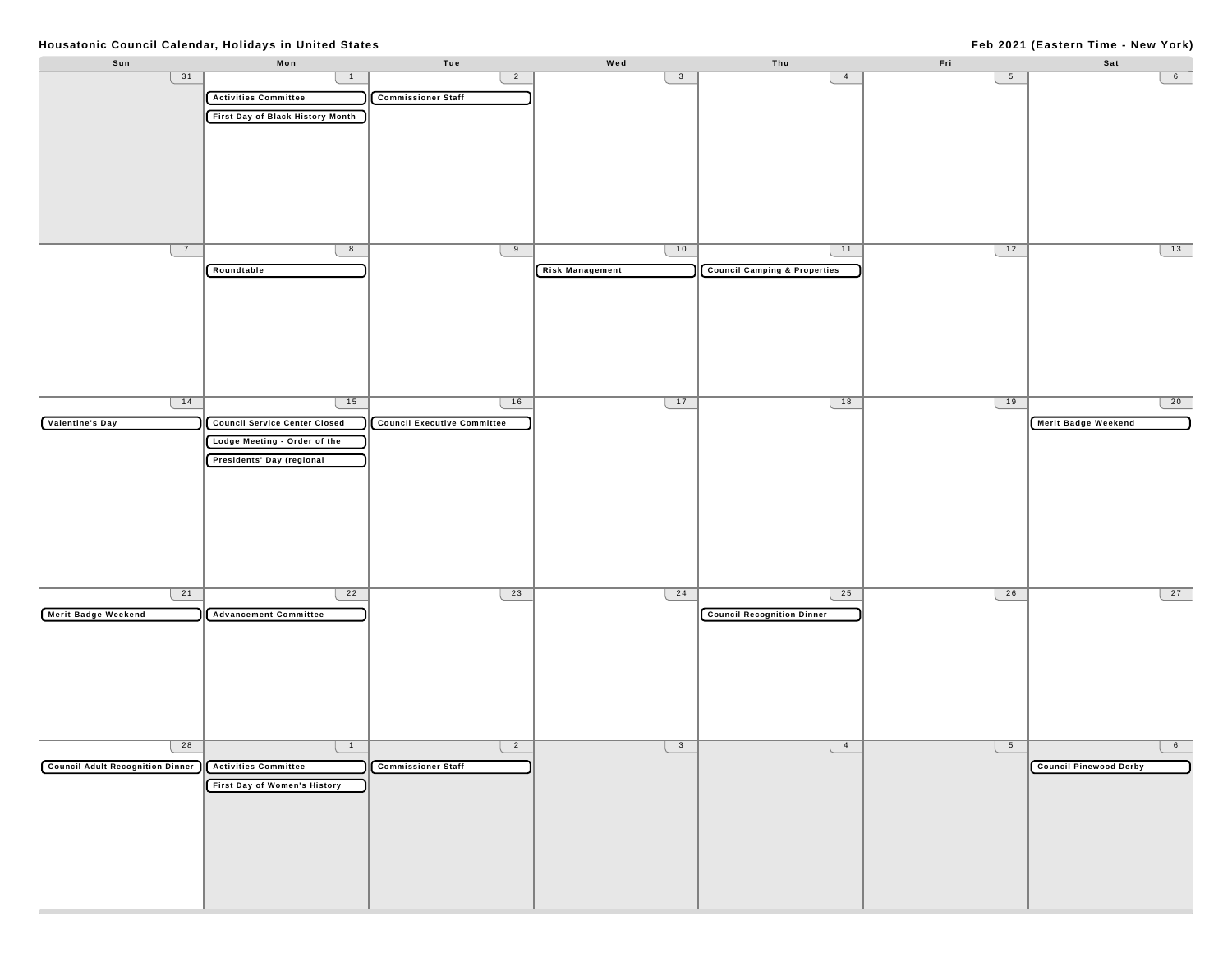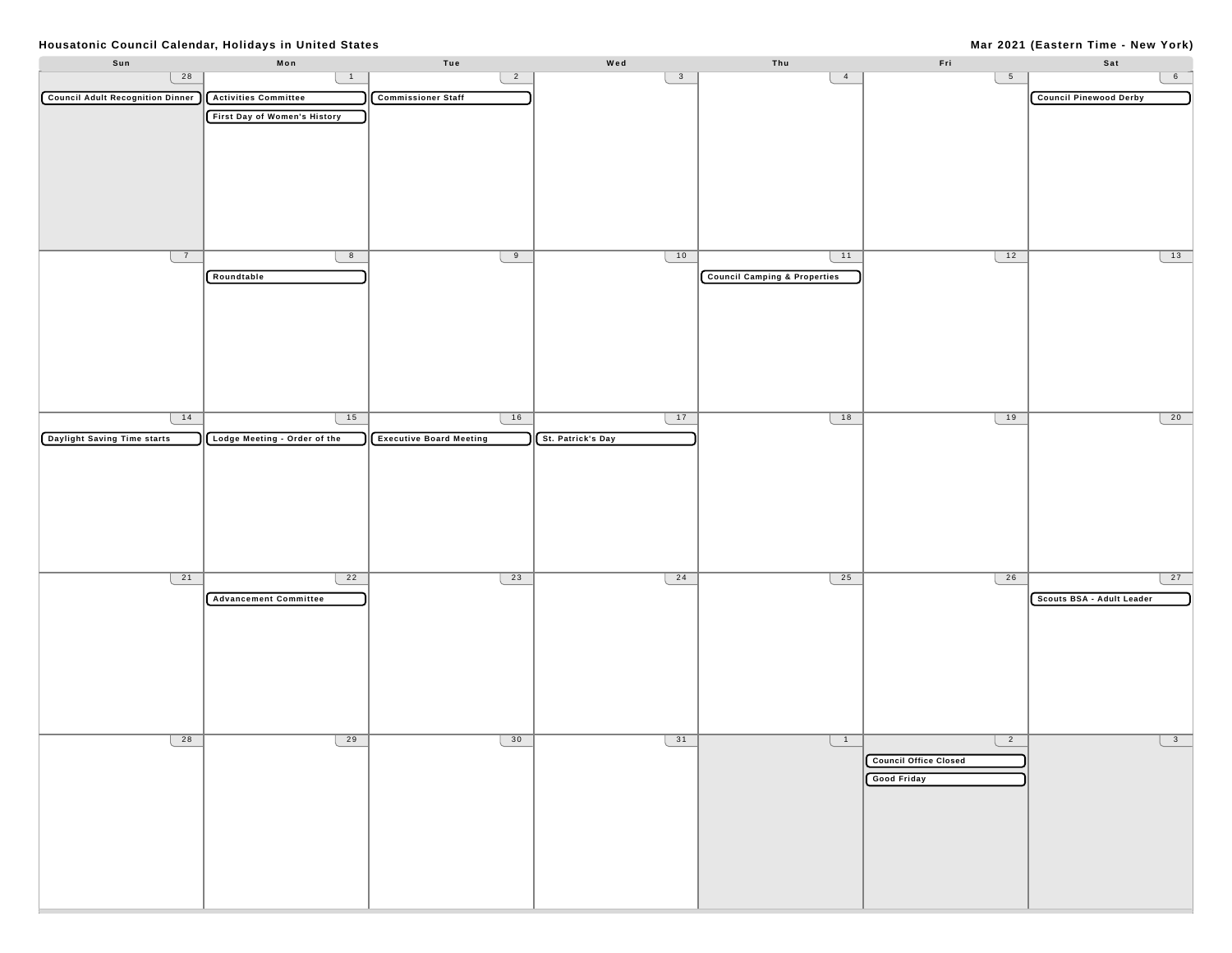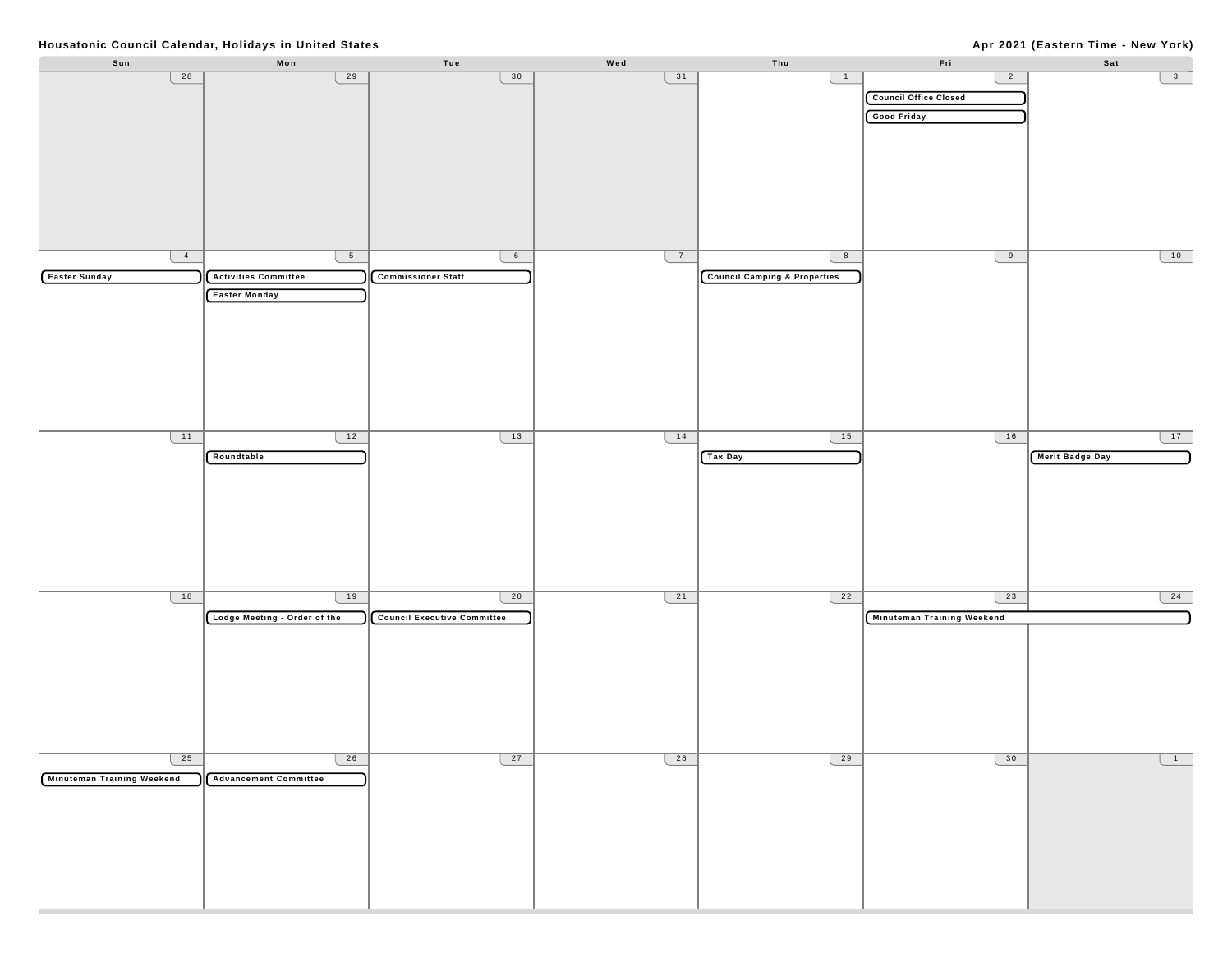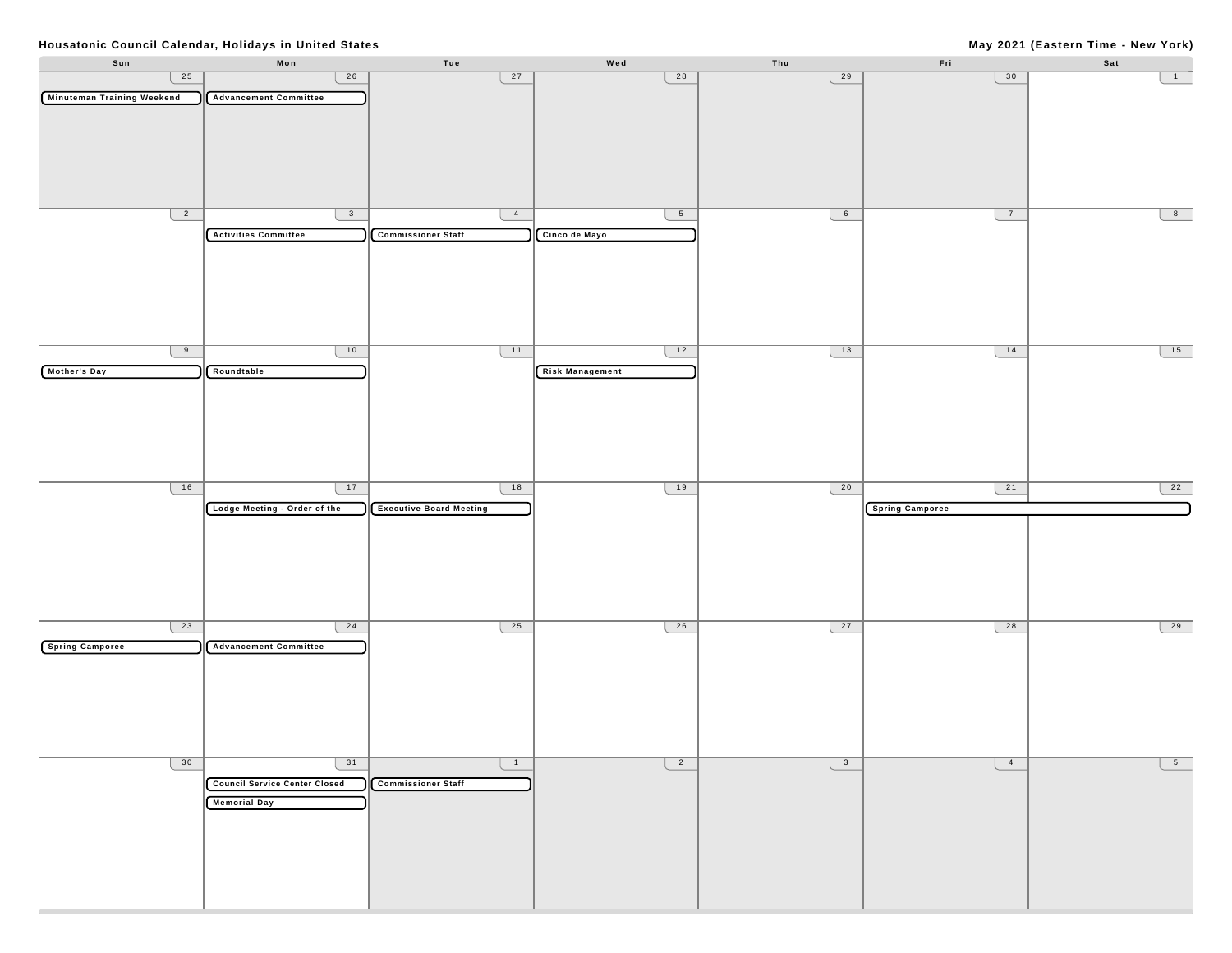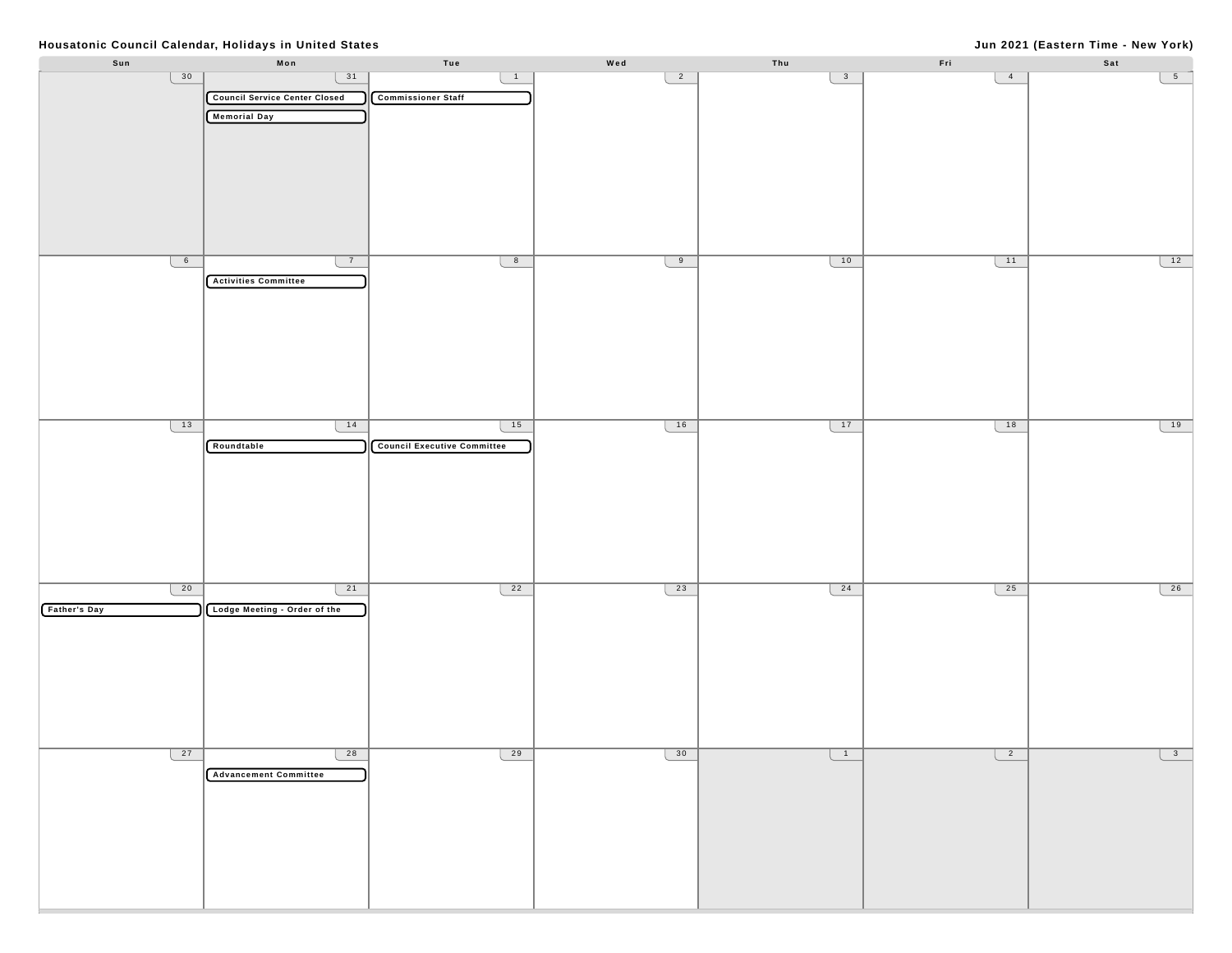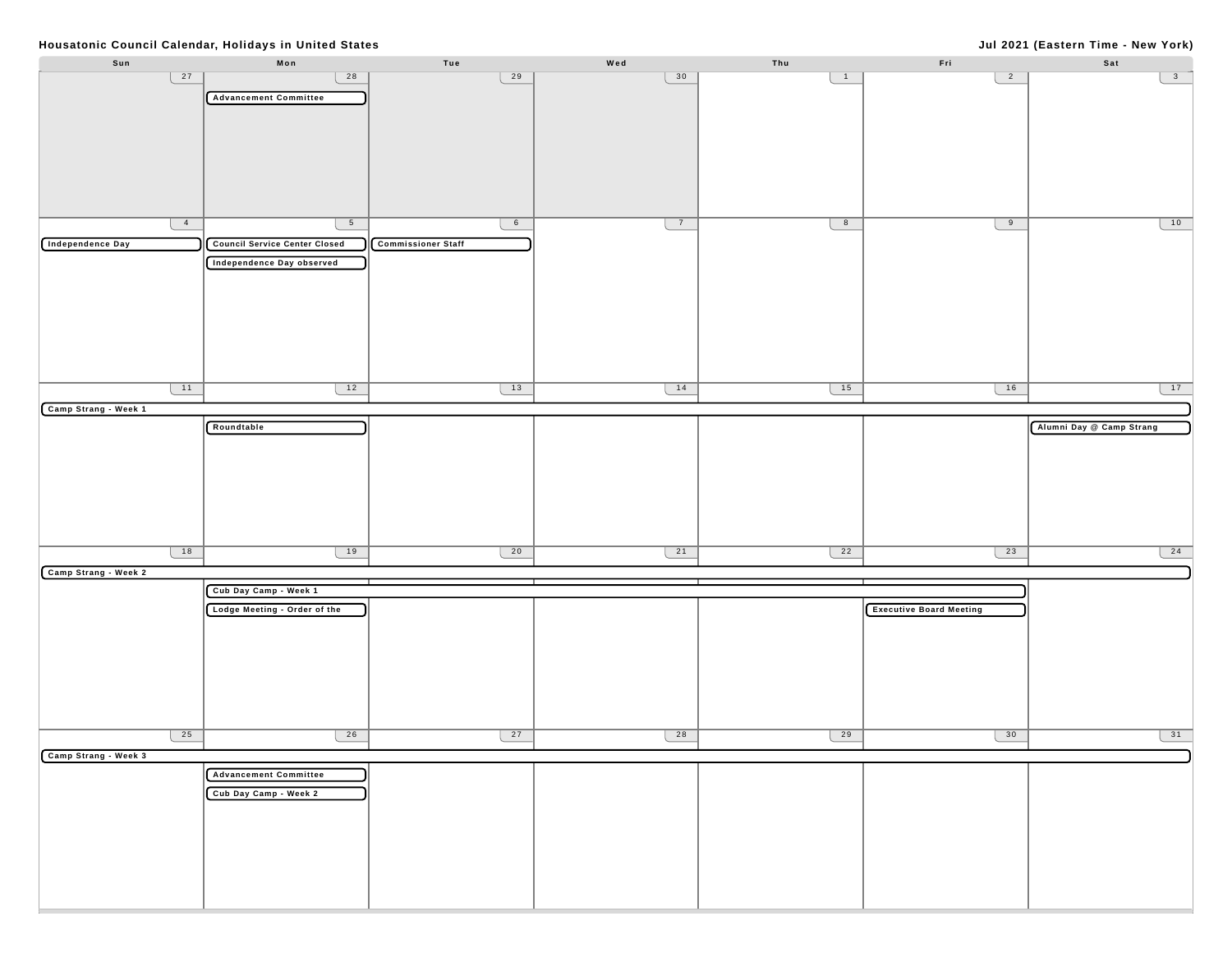# **Jul 2021 (Eastern Time - New York)**

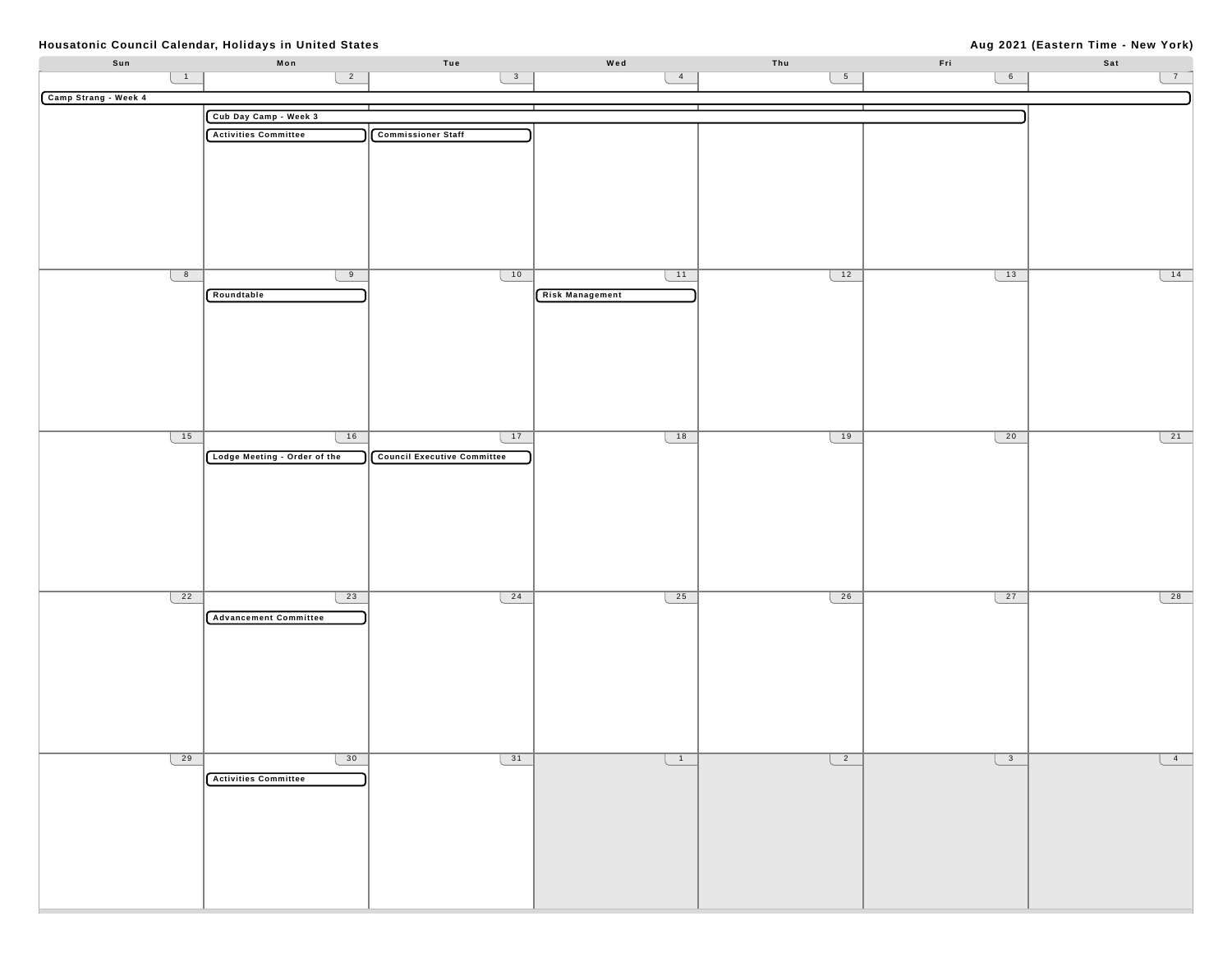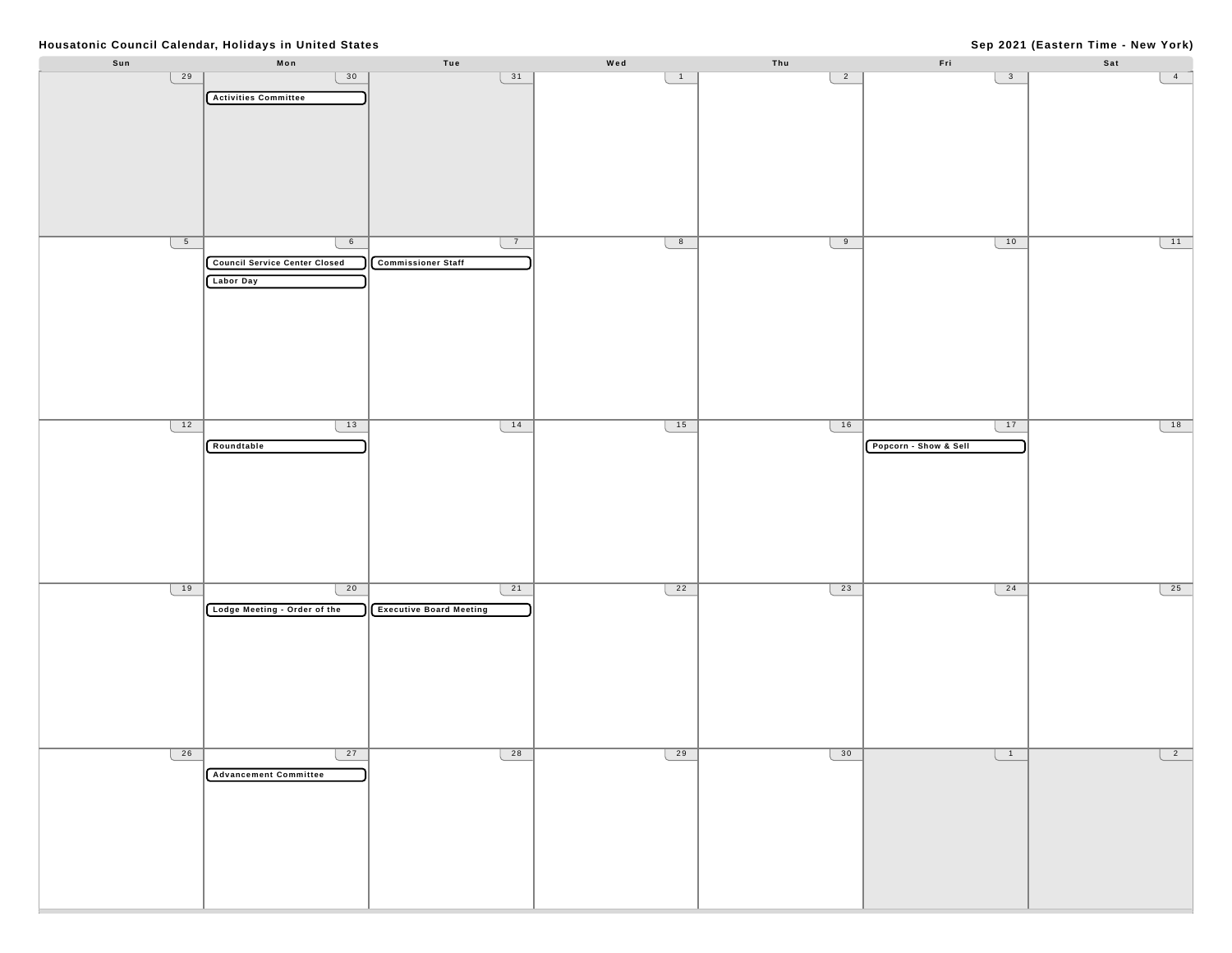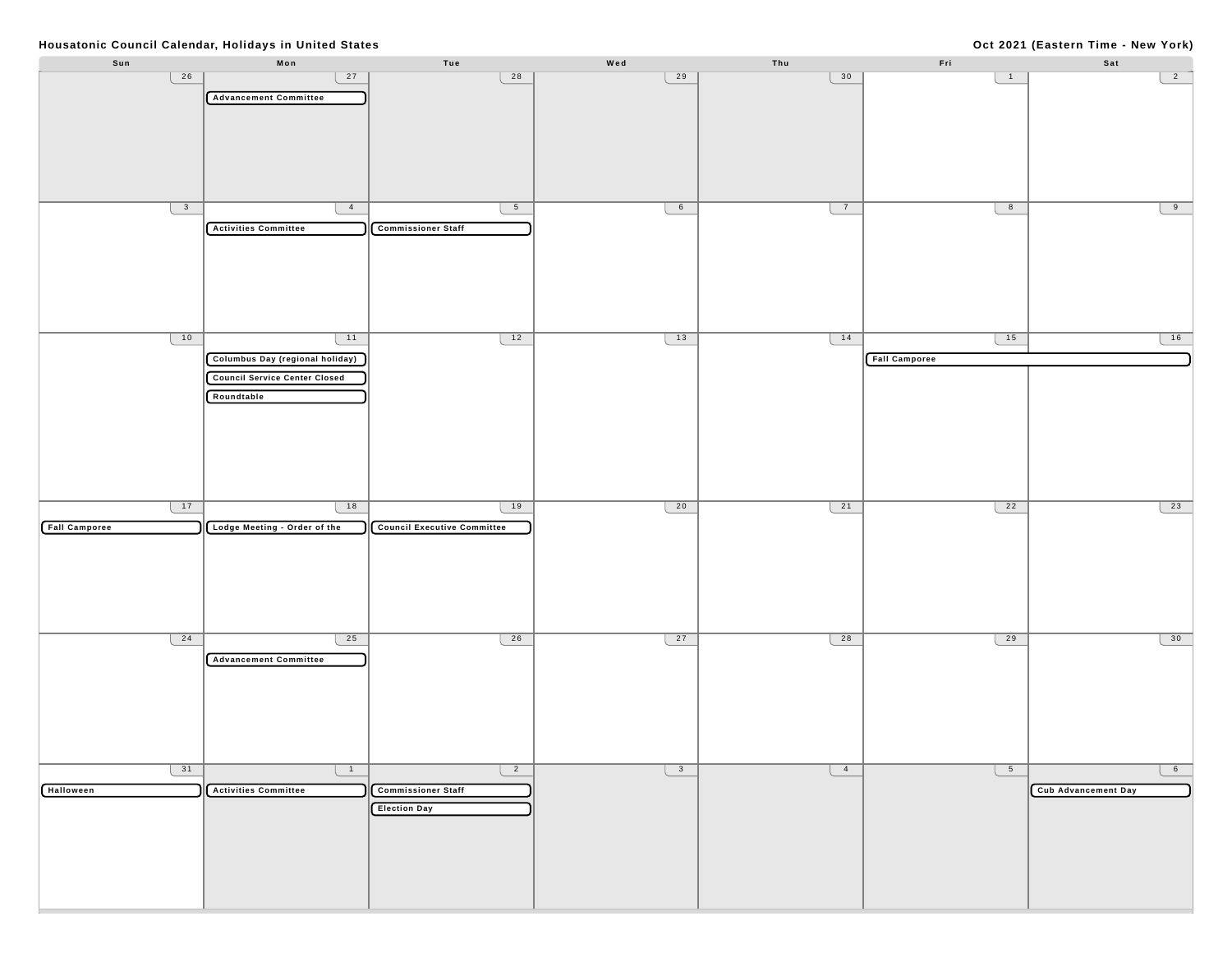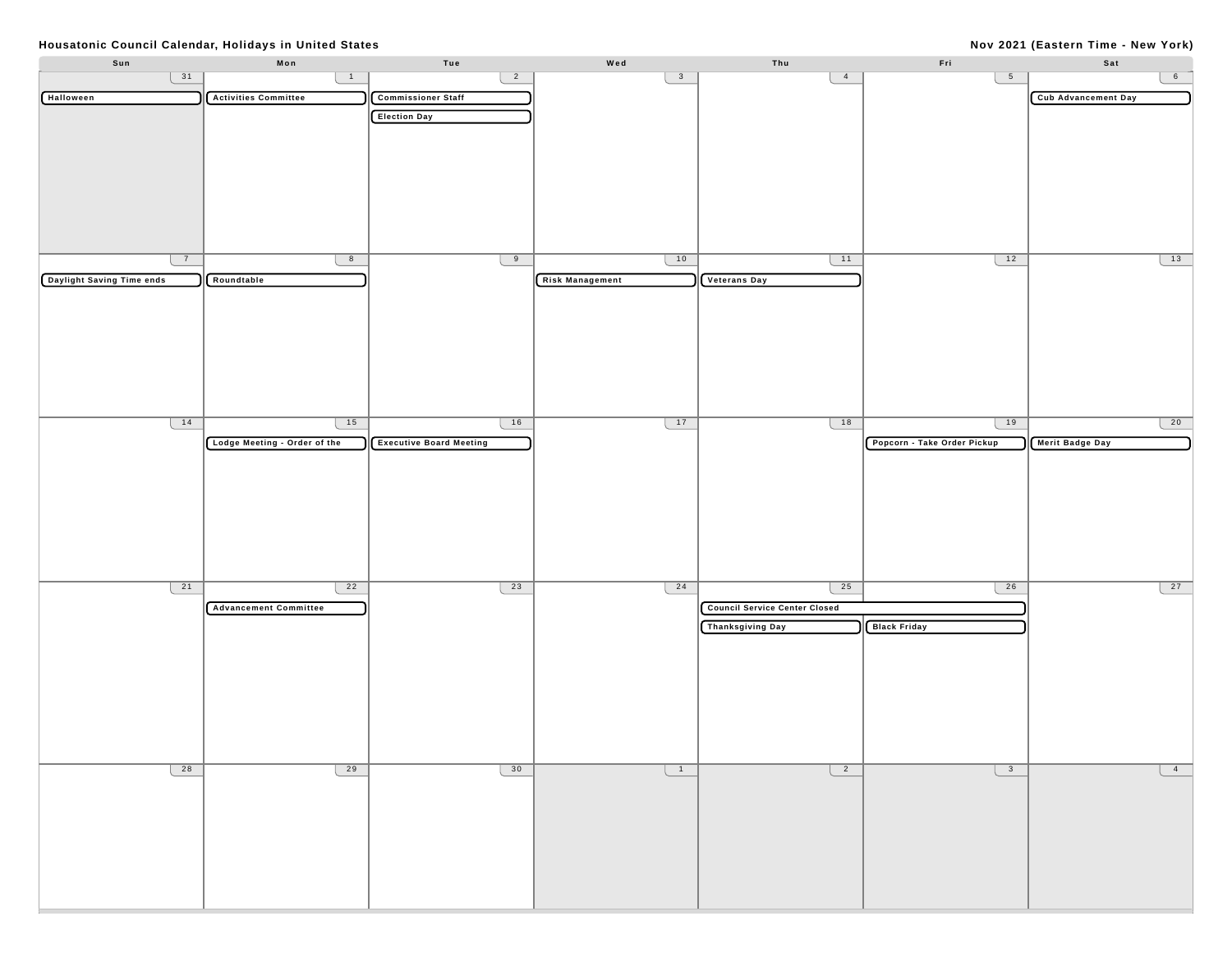